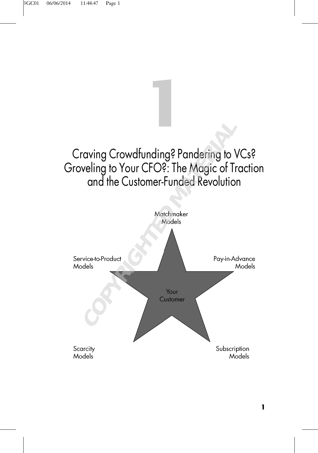# Craving Crowdfunding? Pandering to VCs? Groveling to Your CFO?: The Magic of Traction and the Customer-Funded Revolution

**1**

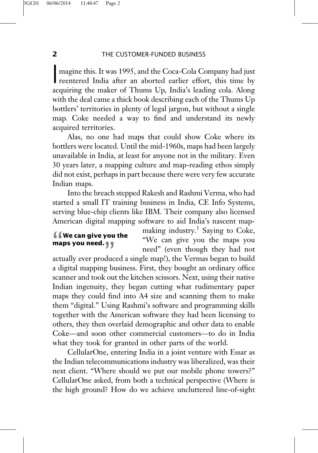Imagine this. It was 1995, and the Coca-Cola Company had just<br>reentered India after an aborted earlier effort, this time by magine this. It was 1995, and the Coca-Cola Company had just acquiring the maker of Thums Up, India's leading cola. Along with the deal came a thick book describing each of the Thums Up bottlers' territories in plenty of legal jargon, but without a single map. Coke needed a way to find and understand its newly acquired territories.

Alas, no one had maps that could show Coke where its bottlers were located. Until the mid-1960s, maps had been largely unavailable in India, at least for anyone not in the military. Even 30 years later, a mapping culture and map-reading ethos simply did not exist, perhaps in part because there were very few accurate Indian maps.

Into the breach stepped Rakesh and Rashmi Verma, who had started a small IT training business in India, CE Info Systems, serving blue-chip clients like IBM. Their company also licensed American digital mapping software to aid India's nascent map-

#### maps you need.  $\P$ **We can give you the**

making industry.<sup>1</sup> Saying to Coke, "We can give you the maps you need" (even though they had not

actually ever produced a single map!), the Vermas began to build a digital mapping business. First, they bought an ordinary office scanner and took out the kitchen scissors. Next, using their native Indian ingenuity, they began cutting what rudimentary paper maps they could find into A4 size and scanning them to make them "digital." Using Rashmi's software and programming skills together with the American software they had been licensing to others, they then overlaid demographic and other data to enable Coke—and soon other commercial customers—to do in India what they took for granted in other parts of the world. **maps you need.**  $\blacksquare$ <br>actually ever produced in the product of the set of the mapping by

CellularOne, entering India in a joint venture with Essar as the Indian telecommunications industry was liberalized, was their next client. "Where should we put our mobile phone towers?" CellularOne asked, from both a technical perspective (Where is the high ground? How do we achieve uncluttered line-of-sight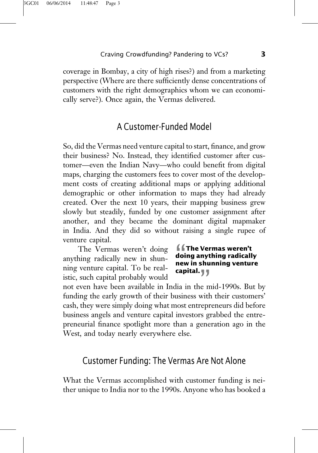coverage in Bombay, a city of high rises?) and from a marketing perspective (Where are there sufficiently dense concentrations of customers with the right demographics whom we can economically serve?). Once again, the Vermas delivered.

# A Customer-Funded Model

So, did the Vermas need venture capital to start, finance, and grow their business? No. Instead, they identified customer after customer—even the Indian Navy—who could benefit from digital maps, charging the customers fees to cover most of the development costs of creating additional maps or applying additional demographic or other information to maps they had already created. Over the next 10 years, their mapping business grew slowly but steadily, funded by one customer assignment after another, and they became the dominant digital mapmaker in India. And they did so without raising a single rupee of venture capital.

The Vermas weren't doing anything radically new in shunning venture capital. To be realistic, such capital probably would

#### " **The Vermas weren't doing anything radically new in shunning venture capital.**  $\parallel$   $\parallel$

not even have been available in India in the mid-1990s. But by funding the early growth of their business with their customers' cash, they were simply doing what most entrepreneurs did before business angels and venture capital investors grabbed the entrepreneurial finance spotlight more than a generation ago in the West, and today nearly everywhere else.

# Customer Funding: The Vermas Are Not Alone

What the Vermas accomplished with customer funding is neither unique to India nor to the 1990s. Anyone who has booked a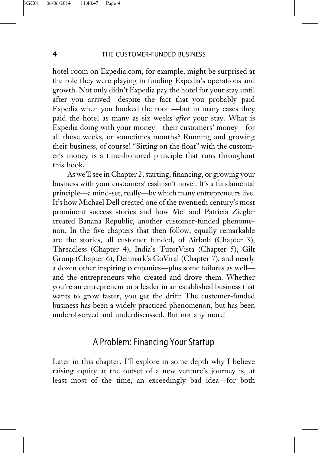hotel room on Expedia.com, for example, might be surprised at the role they were playing in funding Expedia's operations and growth. Not only didn't Expedia pay the hotel for your stay until after you arrived—despite the fact that you probably paid Expedia when you booked the room—but in many cases they paid the hotel as many as six weeks *after* your stay. What is Expedia doing with your money—their customers' money—for all those weeks, or sometimes months? Running and growing their business, of course! "Sitting on the float" with the customer's money is a time-honored principle that runs throughout this book.

As we'll see in Chapter 2, starting, financing, or growing your business with your customers' cash isn't novel. It's a fundamental principle—a mind-set, really—by which many entrepreneurs live. It's how Michael Dell created one of the twentieth century's most prominent success stories and how Mel and Patricia Ziegler created Banana Republic, another customer-funded phenomenon. In the five chapters that then follow, equally remarkable are the stories, all customer funded, of Airbnb (Chapter 3), Threadless (Chapter 4), India's TutorVista (Chapter 5), Gilt Group (Chapter 6), Denmark's GoViral (Chapter 7), and nearly a dozen other inspiring companies—plus some failures as well and the entrepreneurs who created and drove them. Whether you're an entrepreneur or a leader in an established business that wants to grow faster, you get the drift: The customer-funded business has been a widely practiced phenomenon, but has been underobserved and underdiscussed. But not any more!

# A Problem: Financing Your Startup

Later in this chapter, I'll explore in some depth why I believe raising equity at the outset of a new venture's journey is, at least most of the time, an exceedingly bad idea—for both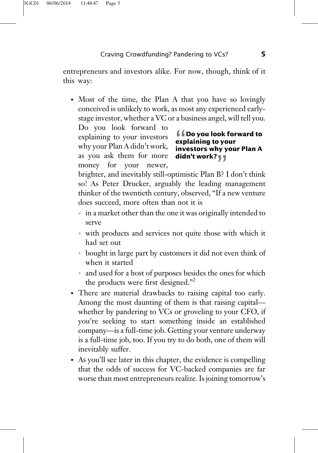entrepreneurs and investors alike. For now, though, think of it this way:

• Most of the time, the Plan A that you have so lovingly conceived is unlikely to work, as most any experienced earlystage investor, whether a VC or a business angel, will tell you.

Do you look forward to explaining to your investors why your Plan A didn't work, as you ask them for more money for your newer,

**f f** Do you look forward to<br>explaining to your<br>investors why your Plan A<br>didn't woul? **Do you look forward to explaining to your**

as you ask them for more didn't work?<br>
money for your newer,<br>
brighter, and inevitably still-optimistic Plan B? I don't think so! As Peter Drucker, arguably the leading management thinker of the twentieth century, observed, "If a new venture does succeed, more often than not it is

- in a market other than the one it was originally intended to serve
- with products and services not quite those with which it had set out
- bought in large part by customers it did not even think of when it started
- and used for a host of purposes besides the ones for which the products were first designed."<sup>2</sup>
- There are material drawbacks to raising capital too early. Among the most daunting of them is that raising capital whether by pandering to VCs or groveling to your CFO, if you're seeking to start something inside an established company—is a full-time job. Getting your venture underway is a full-time job, too. If you try to do both, one of them will inevitably suffer.
- As you'll see later in this chapter, the evidence is compelling that the odds of success for VC-backed companies are far worse than most entrepreneurs realize. Is joining tomorrow's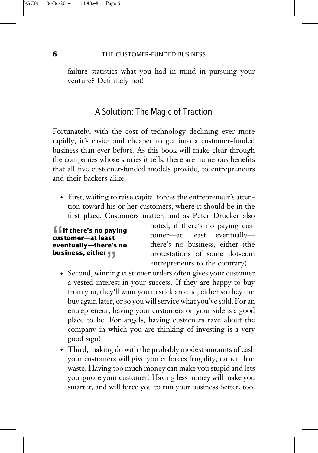failure statistics what you had in mind in pursuing your venture? Definitely not!

# A Solution: The Magic of Traction

Fortunately, with the cost of technology declining ever more rapidly, it's easier and cheaper to get into a customer-funded business than ever before. As this book will make clear through the companies whose stories it tells, there are numerous benefits that all five customer-funded models provide, to entrepreneurs and their backers alike.

• First, waiting to raise capital forces the entrepreneur's attention toward his or her customers, where it should be in the first place. Customers matter, and as Peter Drucker also

**example is there's no paying**<br>customer—at least<br>eventually—there's no<br>business sither== **if there's no paying customer—at least business, either**"

noted, if there's no paying customer—at least eventually there's no business, either (the protestations of some dot-com entrepreneurs to the contrary).

- Second, winning customer orders often gives your customer a vested interest in your success. If they are happy to buy from you, they'll want you to stick around, either so they can buy again later, or so you will service what you've sold. For an entrepreneur, having your customers on your side is a good place to be. For angels, having customers rave about the company in which you are thinking of investing is a very good sign!
- Third, making do with the probably modest amounts of cash your customers will give you enforces frugality, rather than waste. Having too much money can make you stupid and lets you ignore your customer! Having less money will make you smarter, and will force you to run your business better, too.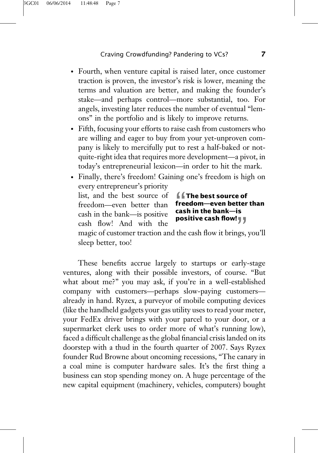- Fourth, when venture capital is raised later, once customer traction is proven, the investor's risk is lower, meaning the terms and valuation are better, and making the founder's stake—and perhaps control—more substantial, too. For angels, investing later reduces the number of eventual "lemons" in the portfolio and is likely to improve returns.
- Fifth, focusing your efforts to raise cash from customers who are willing and eager to buy from your yet-unproven company is likely to mercifully put to rest a half-baked or notquite-right idea that requires more development—a pivot, in today's entrepreneurial lexicon—in order to hit the mark.
- Finally, there's freedom! Gaining one's freedom is high on every entrepreneur's priority

list, and the best source of freedom—even better than cash in the bank—is positive cash flow! And with the

**f f** The best source of freedom—even bett<br>cash in the bank—is<br>positive soak flow! **f f** The best source of **freedom—even better than**

magic of customer traction and the cash flow it brings, you'll sleep better, too! **positive cash flow! J J** the cash flow it brings,

These benefits accrue largely to startups or early-stage ventures, along with their possible investors, of course. "But what about me?" you may ask, if you're in a well-established company with customers—perhaps slow-paying customers already in hand. Ryzex, a purveyor of mobile computing devices (like the handheld gadgets your gas utility uses to read your meter, your FedEx driver brings with your parcel to your door, or a supermarket clerk uses to order more of what's running low), faced a difficult challenge as the global financial crisis landed on its doorstep with a thud in the fourth quarter of 2007. Says Ryzex founder Rud Browne about oncoming recessions, "The canary in a coal mine is computer hardware sales. It's the first thing a business can stop spending money on. A huge percentage of the new capital equipment (machinery, vehicles, computers) bought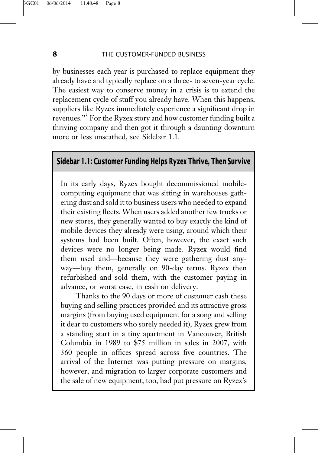by businesses each year is purchased to replace equipment they already have and typically replace on a three- to seven-year cycle. The easiest way to conserve money in a crisis is to extend the replacement cycle of stuff you already have. When this happens, suppliers like Ryzex immediately experience a significant drop in revenues." <sup>3</sup> For the Ryzex story and how customer funding built a thriving company and then got it through a daunting downturn more or less unscathed, see Sidebar 1.1.

## **Sidebar 1.1: Customer Funding Helps Ryzex Thrive, Then Survive**

In its early days, Ryzex bought decommissioned mobilecomputing equipment that was sitting in warehouses gathering dust and sold it to business users who needed to expand their existing fleets. When users added another few trucks or new stores, they generally wanted to buy exactly the kind of mobile devices they already were using, around which their systems had been built. Often, however, the exact such devices were no longer being made. Ryzex would find them used and—because they were gathering dust anyway—buy them, generally on 90-day terms. Ryzex then refurbished and sold them, with the customer paying in advance, or worst case, in cash on delivery.

Thanks to the 90 days or more of customer cash these buying and selling practices provided and its attractive gross margins (from buying used equipment for a song and selling it dear to customers who sorely needed it), Ryzex grew from a standing start in a tiny apartment in Vancouver, British Columbia in 1989 to \$75 million in sales in 2007, with 360 people in offices spread across five countries. The arrival of the Internet was putting pressure on margins, however, and migration to larger corporate customers and the sale of new equipment, too, had put pressure on Ryzex's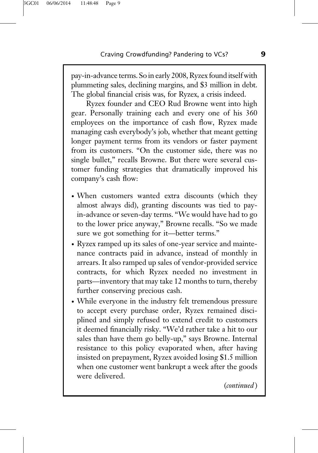pay-in-advance terms. So in early 2008, Ryzex found itself with plummeting sales, declining margins, and \$3 million in debt. The global financial crisis was, for Ryzex, a crisis indeed.

Ryzex founder and CEO Rud Browne went into high gear. Personally training each and every one of his 360 employees on the importance of cash flow, Ryzex made managing cash everybody's job, whether that meant getting longer payment terms from its vendors or faster payment from its customers. "On the customer side, there was no single bullet," recalls Browne. But there were several customer funding strategies that dramatically improved his company's cash flow:

- When customers wanted extra discounts (which they almost always did), granting discounts was tied to payin-advance or seven-day terms. "We would have had to go to the lower price anyway," Browne recalls. "So we made sure we got something for it—better terms."
- Ryzex ramped up its sales of one-year service and maintenance contracts paid in advance, instead of monthly in arrears. It also ramped up sales of vendor-provided service contracts, for which Ryzex needed no investment in parts—inventory that may take 12 months to turn, thereby further conserving precious cash.
- While everyone in the industry felt tremendous pressure to accept every purchase order, Ryzex remained disciplined and simply refused to extend credit to customers it deemed financially risky. "We'd rather take a hit to our sales than have them go belly-up," says Browne. Internal resistance to this policy evaporated when, after having insisted on prepayment, Ryzex avoided losing \$1.5 million when one customer went bankrupt a week after the goods were delivered.

(*continued* )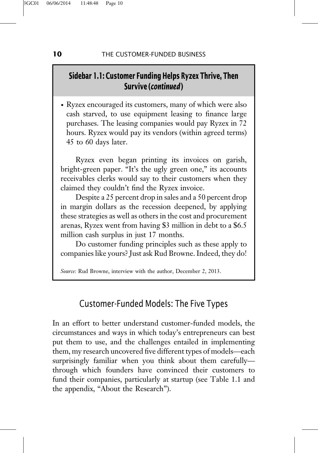# **Sidebar 1.1: Customer Funding Helps Ryzex Thrive, Then Survive (***continued* **)**

• Ryzex encouraged its customers, many of which were also cash starved, to use equipment leasing to finance large purchases. The leasing companies would pay Ryzex in 72 hours. Ryzex would pay its vendors (within agreed terms) 45 to 60 days later.

Ryzex even began printing its invoices on garish, bright-green paper. "It's the ugly green one," its accounts receivables clerks would say to their customers when they claimed they couldn't find the Ryzex invoice.

Despite a 25 percent drop in sales and a 50 percent drop in margin dollars as the recession deepened, by applying these strategies as well as others in the cost and procurement arenas, Ryzex went from having \$3 million in debt to a \$6.5 million cash surplus in just 17 months.

Do customer funding principles such as these apply to companies like yours? Just ask Rud Browne. Indeed, they do!

*Source:* Rud Browne, interview with the author, December 2, 2013.

# Customer-Funded Models: The Five Types

In an effort to better understand customer-funded models, the circumstances and ways in which today's entrepreneurs can best put them to use, and the challenges entailed in implementing them, my research uncovered five different types of models—each surprisingly familiar when you think about them carefully through which founders have convinced their customers to fund their companies, particularly at startup (see Table 1.1 and the appendix, "About the Research").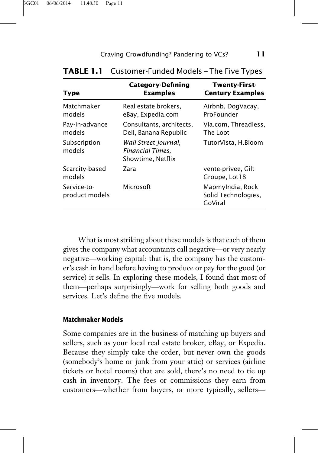| <b>Type</b>                   | <b>Category-Defining</b><br><b>Examples</b>                   | <b>Twenty-First-</b><br><b>Century Examples</b>    |
|-------------------------------|---------------------------------------------------------------|----------------------------------------------------|
| Matchmaker<br>models          | Real estate brokers,<br>eBay, Expedia.com                     | Airbnb, DogVacay,<br>ProFounder                    |
| Pay-in-advance<br>models      | Consultants, architects,<br>Dell, Banana Republic             | Via.com, Threadless,<br>The Loot                   |
| Subscription<br>models        | Wall Street Journal,<br>Financial Times,<br>Showtime, Netflix | TutorVista, H.Bloom                                |
| Scarcity-based<br>models      | Zara                                                          | vente-privee, Gilt<br>Groupe, Lot 18               |
| Service-to-<br>product models | Microsoft                                                     | MapmyIndia, Rock<br>Solid Technologies,<br>GoViral |

#### **TABLE 1.1** Customer-Funded Models – The Five Types

What is most striking about these models is that each of them gives the company what accountants call negative—or very nearly negative—working capital: that is, the company has the customer's cash in hand before having to produce or pay for the good (or service) it sells. In exploring these models, I found that most of them—perhaps surprisingly—work for selling both goods and services. Let's define the five models.

#### **Matchmaker Models**

Some companies are in the business of matching up buyers and sellers, such as your local real estate broker, eBay, or Expedia. Because they simply take the order, but never own the goods (somebody's home or junk from your attic) or services (airline tickets or hotel rooms) that are sold, there's no need to tie up cash in inventory. The fees or commissions they earn from customers—whether from buyers, or more typically, sellers—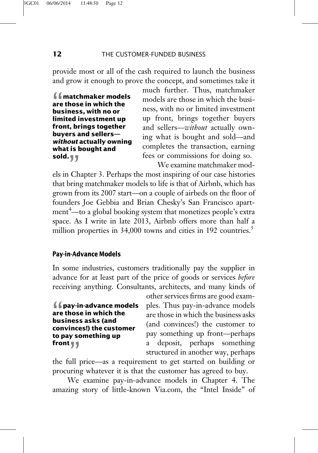provide most or all of the cash required to launch the business and grow it enough to prove the concept, and sometimes take it

**f f** matchmaker mod<br>are those in which th<br>business, with no or<br>limited investment : **matchmaker models are those in which the limited investment up front, brings together buyers and sellers** *without* **actually owning what is bought and**

much further. Thus, matchmaker models are those in which the business, with no or limited investment up front, brings together buyers and sellers—*without* actually owning what is bought and sold—and completes the transaction, earning fees or commissions for doing so. We examine matchmaker mod-

sold.  $\blacksquare$ <br>
fees or commissions for doing so.<br>
We examine matchmaker mod-<br>
els in Chapter 3. Perhaps the most inspiring of our case histories that bring matchmaker models to life is that of Airbnb, which has grown from its 2007 start—on a couple of airbeds on the floor of founders Joe Gebbia and Brian Chesky's San Francisco apartment<sup>4</sup>—to a global booking system that monetizes people's extra space. As I write in late 2013, Airbnb offers more than half a million properties in 34,000 towns and cities in 192 countries.<sup>5</sup>

#### **Pay-in-Advance Models**

In some industries, customers traditionally pay the supplier in advance for at least part of the price of goods or services *before* receiving anything. Consultants, architects, and many kinds of

**f** pay-in-advance models<br>are those in which the<br>business asks (and<br>conviness) the sustamer **are those in which the business asks (and convinces!) the customer to pay something up** front **T** 

other services firms are good examples. Thus pay-in-advance models are those in which the business asks (and convinces!) the customer to pay something up front—perhaps a deposit, perhaps something structured in another way, perhaps

the full price—as a requirement to get started on building or procuring whatever it is that the customer has agreed to buy.

We examine pay-in-advance models in Chapter 4. The amazing story of little-known Via.com, the "Intel Inside" of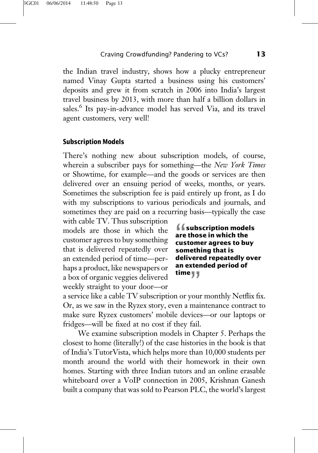the Indian travel industry, shows how a plucky entrepreneur named Vinay Gupta started a business using his customers' deposits and grew it from scratch in 2006 into India's largest travel business by 2013, with more than half a billion dollars in sales.<sup>6</sup> Its pay-in-advance model has served Via, and its travel agent customers, very well!

#### **Subscription Models**

There's nothing new about subscription models, of course, wherein a subscriber pays for something—the *New York Times* or Showtime, for example—and the goods or services are then delivered over an ensuing period of weeks, months, or years. Sometimes the subscription fee is paid entirely up front, as I do with my subscriptions to various periodicals and journals, and sometimes they are paid on a recurring basis—typically the case

with cable TV. Thus subscription models are those in which the customer agrees to buy something that is delivered repeatedly over an extended period of time—perhaps a product, like newspapers or a box of organic veggies delivered weekly straight to your door—or a box of organic veggies delivered<br>weekly straight to your door—or<br>a service like a cable TV subscription or your monthly Netflix fix.

**f** subscription models<br>are those in which the<br>customer agrees to buy **subscription models are those in which the something that is delivered repeatedly over an extended period of**

Or, as we saw in the Ryzex story, even a maintenance contract to make sure Ryzex customers' mobile devices—or our laptops or fridges—will be fixed at no cost if they fail.

We examine subscription models in Chapter 5. Perhaps the closest to home (literally!) of the case histories in the book is that of India's TutorVista, which helps more than 10,000 students per month around the world with their homework in their own homes. Starting with three Indian tutors and an online erasable whiteboard over a VoIP connection in 2005, Krishnan Ganesh built a company that was sold to Pearson PLC, the world's largest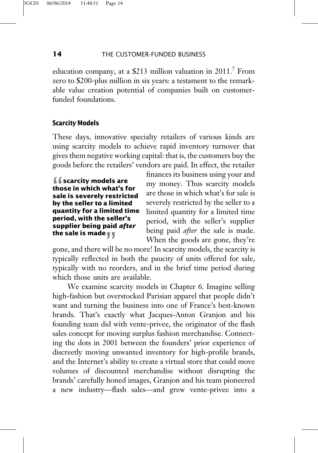education company, at a \$213 million valuation in 2011.<sup>7</sup> From zero to \$200-plus million in six years: a testament to the remarkable value creation potential of companies built on customerfunded foundations.

#### **Scarcity Models**

These days, innovative specialty retailers of various kinds are using scarcity models to achieve rapid inventory turnover that gives them negative working capital: that is, the customers buy the goods before the retailers' vendors are paid. In effect, the retailer

"<br>tho<br>sal **scarcity models are those in which what's for sale is severely restricted by the seller to a limited quantity for a limited time period, with the seller's supplier being paid** *after*

finances its business using your and my money. Thus scarcity models are those in which what's for sale is severely restricted by the seller to a limited quantity for a limited time period, with the seller's supplier being paid *after* the sale is made. When the goods are gone, they're

**the sale is made**  $\blacksquare$ <br>
When the goods are gone, they're<br>
gone, and there will be no more! In scarcity models, the scarcity is<br>
the scarcity is the power of units of the formal for sale typically reflected in both the paucity of units offered for sale, typically with no reorders, and in the brief time period during which those units are available.

We examine scarcity models in Chapter 6. Imagine selling high-fashion but overstocked Parisian apparel that people didn't want and turning the business into one of France's best-known brands. That's exactly what Jacques-Anton Granjon and his founding team did with vente-privee, the originator of the flash sales concept for moving surplus fashion merchandise. Connecting the dots in 2001 between the founders' prior experience of discreetly moving unwanted inventory for high-profile brands, and the Internet's ability to create a virtual store that could move volumes of discounted merchandise without disrupting the brands' carefully honed images, Granjon and his team pioneered a new industry—flash sales—and grew vente-privee into a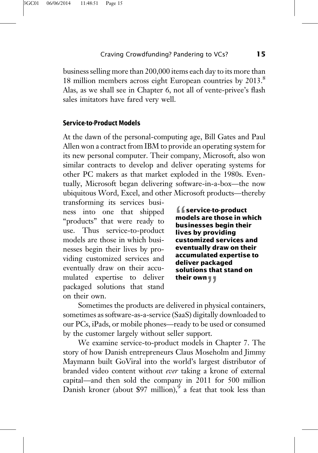business selling more than 200,000 items each day to its more than 18 million members across eight European countries by 2013.<sup>8</sup> Alas, as we shall see in Chapter 6, not all of vente-privee's flash sales imitators have fared very well.

#### **Service-to-Product Models**

At the dawn of the personal-computing age, Bill Gates and Paul Allen won a contract from IBM to provide an operating system for its new personal computer. Their company, Microsoft, also won similar contracts to develop and deliver operating systems for other PC makers as that market exploded in the 1980s. Eventually, Microsoft began delivering software-in-a-box—the now ubiquitous Word, Excel, and other Microsoft products—thereby

transforming its services business into one that shipped "products" that were ready to use. Thus service-to-product models are those in which businesses begin their lives by providing customized services and eventually draw on their accumulated expertise to deliver packaged solutions that stand on their own.

**f** service-to-product<br>models are those in wh<br>businesses begin their<br>lives by providing **service-to-product models are those in which lives by providing customized services and eventually draw on their accumulated expertise to deliver packaged solutions that stand on their own**"

Sometimes the products are delivered in physical containers, sometimes as software-as-a-service (SaaS) digitally downloaded to our PCs, iPads, or mobile phones—ready to be used or consumed by the customer largely without seller support.

We examine service-to-product models in Chapter 7. The story of how Danish entrepreneurs Claus Moseholm and Jimmy Maymann built GoViral into the world's largest distributor of branded video content without *ever* taking a krone of external capital—and then sold the company in 2011 for 500 million Danish kroner (about \$97 million),<sup>9</sup> a feat that took less than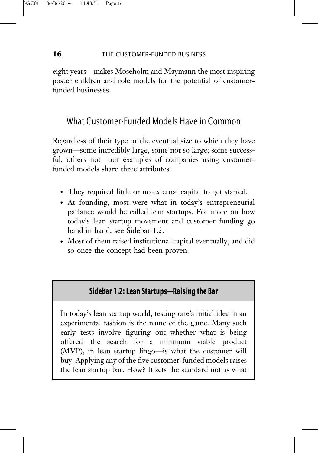eight years—makes Moseholm and Maymann the most inspiring poster children and role models for the potential of customerfunded businesses.

# What Customer-Funded Models Have in Common

Regardless of their type or the eventual size to which they have grown—some incredibly large, some not so large; some successful, others not—our examples of companies using customerfunded models share three attributes:

- They required little or no external capital to get started.
- At founding, most were what in today's entrepreneurial parlance would be called lean startups. For more on how today's lean startup movement and customer funding go hand in hand, see Sidebar 1.2.
- Most of them raised institutional capital eventually, and did so once the concept had been proven.

#### **Sidebar 1.2: Lean Startups—Raising the Bar**

In today's lean startup world, testing one's initial idea in an experimental fashion is the name of the game. Many such early tests involve figuring out whether what is being offered—the search for a minimum viable product (MVP), in lean startup lingo—is what the customer will buy. Applying any of the five customer-funded models raises the lean startup bar. How? It sets the standard not as what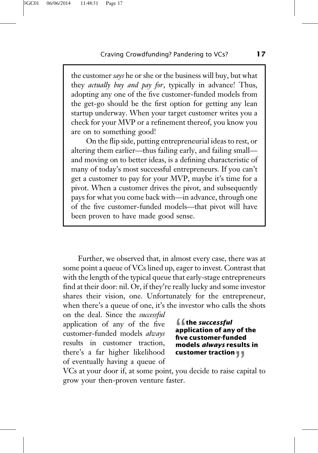the customer *says* he or she or the business will buy, but what they *actually buy and pay for*, typically in advance! Thus, adopting any one of the five customer-funded models from the get-go should be the first option for getting any lean startup underway. When your target customer writes you a check for your MVP or a refinement thereof, you know you are on to something good!

On the flip side, putting entrepreneurial ideas to rest, or altering them earlier—thus failing early, and failing small and moving on to better ideas, is a defining characteristic of many of today's most successful entrepreneurs. If you can't get a customer to pay for your MVP, maybe it's time for a pivot. When a customer drives the pivot, and subsequently pays for what you come back with—in advance, through one of the five customer-funded models—that pivot will have been proven to have made good sense.

Further, we observed that, in almost every case, there was at some point a queue of VCs lined up, eager to invest. Contrast that with the length of the typical queue that early-stage entrepreneurs find at their door: nil. Or, if they're really lucky and some investor shares their vision, one. Unfortunately for the entrepreneur, when there's a queue of one, it's the investor who calls the shots

on the deal. Since the *successful* application of any of the five customer-funded models *always* results in customer traction, there's a far higher likelihood of eventually having a queue of

[1]<br>app<br>five **f** the *successful* **application of any of the five customer-funded models** *always* **results in customer traction**  $\blacksquare$ 

VCs at your door if, at some point, you decide to raise capital to grow your then-proven venture faster.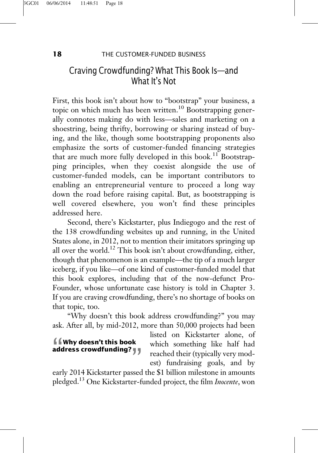# Craving Crowdfunding? What This Book Is—and What It's Not

First, this book isn't about how to "bootstrap" your business, a topic on which much has been written.<sup>10</sup> Bootstrapping generally connotes making do with less—sales and marketing on a shoestring, being thrifty, borrowing or sharing instead of buying, and the like, though some bootstrapping proponents also emphasize the sorts of customer-funded financing strategies that are much more fully developed in this book.<sup>11</sup> Bootstrapping principles, when they coexist alongside the use of customer-funded models, can be important contributors to enabling an entrepreneurial venture to proceed a long way down the road before raising capital. But, as bootstrapping is well covered elsewhere, you won't find these principles addressed here.

Second, there's Kickstarter, plus Indiegogo and the rest of the 138 crowdfunding websites up and running, in the United States alone, in 2012, not to mention their imitators springing up all over the world.<sup>12</sup> This book isn't about crowdfunding, either, though that phenomenon is an example—the tip of a much larger iceberg, if you like—of one kind of customer-funded model that this book explores, including that of the now-defunct Pro-Founder, whose unfortunate case history is told in Chapter 3. If you are craving crowdfunding, there's no shortage of books on that topic, too.

"Why doesn't this book address crowdfunding?" you may ask. After all, by mid-2012, more than 50,000 projects had been

# **"**<br>add<br>add **Why doesn't this book address crowdfunding?**"

listed on Kickstarter alone, of which something like half had reached their (typically very modest) fundraising goals, and by

early 2014 Kickstarter passed the \$1 billion milestone in amounts pledged.<sup>13</sup> One Kickstarter-funded project, the film *Inocente*, won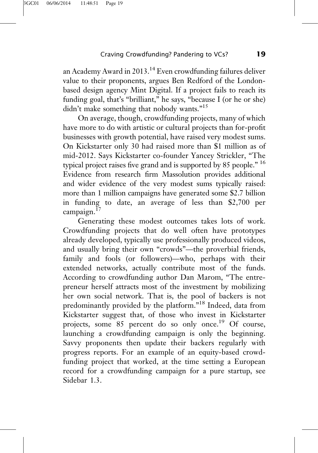an Academy Award in 2013.<sup>14</sup> Even crowdfunding failures deliver value to their proponents, argues Ben Redford of the Londonbased design agency Mint Digital. If a project fails to reach its funding goal, that's "brilliant," he says, "because I (or he or she) didn't make something that nobody wants."<sup>15</sup>

On average, though, crowdfunding projects, many of which have more to do with artistic or cultural projects than for-profit businesses with growth potential, have raised very modest sums. On Kickstarter only 30 had raised more than \$1 million as of mid-2012. Says Kickstarter co-founder Yancey Strickler, "The typical project raises five grand and is supported by 85 people." <sup>16</sup> Evidence from research firm Massolution provides additional and wider evidence of the very modest sums typically raised: more than 1 million campaigns have generated some \$2.7 billion in funding to date, an average of less than \$2,700 per campaign.<sup>17</sup>

Generating these modest outcomes takes lots of work. Crowdfunding projects that do well often have prototypes already developed, typically use professionally produced videos, and usually bring their own "crowds"—the proverbial friends, family and fools (or followers)—who, perhaps with their extended networks, actually contribute most of the funds. According to crowdfunding author Dan Marom, "The entrepreneur herself attracts most of the investment by mobilizing her own social network. That is, the pool of backers is not predominantly provided by the platform."<sup>18</sup> Indeed, data from Kickstarter suggest that, of those who invest in Kickstarter projects, some 85 percent do so only once.<sup>19</sup> Of course, launching a crowdfunding campaign is only the beginning. Savvy proponents then update their backers regularly with progress reports. For an example of an equity-based crowdfunding project that worked, at the time setting a European record for a crowdfunding campaign for a pure startup, see Sidebar 1.3.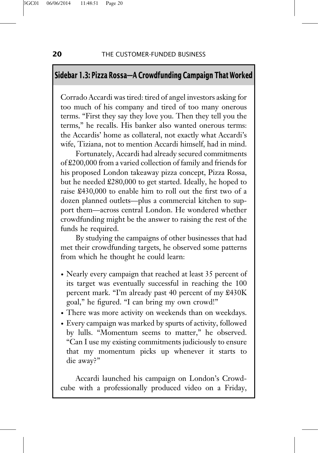#### **Sidebar 1.3: Pizza Rossa—A Crowdfunding Campaign That Worked**

Corrado Accardi was tired: tired of angel investors asking for too much of his company and tired of too many onerous terms. "First they say they love you. Then they tell you the terms," he recalls. His banker also wanted onerous terms: the Accardis' home as collateral, not exactly what Accardi's wife, Tiziana, not to mention Accardi himself, had in mind.

Fortunately, Accardi had already secured commitments of £200,000 from a varied collection of family and friends for his proposed London takeaway pizza concept, Pizza Rossa, but he needed £280,000 to get started. Ideally, he hoped to raise £430,000 to enable him to roll out the first two of a dozen planned outlets—plus a commercial kitchen to support them—across central London. He wondered whether crowdfunding might be the answer to raising the rest of the funds he required.

By studying the campaigns of other businesses that had met their crowdfunding targets, he observed some patterns from which he thought he could learn:

- Nearly every campaign that reached at least 35 percent of its target was eventually successful in reaching the 100 percent mark. "I'm already past 40 percent of my £430K goal," he figured. "I can bring my own crowd!"
- There was more activity on weekends than on weekdays.
- Every campaign was marked by spurts of activity, followed by lulls. "Momentum seems to matter," he observed. "Can I use my existing commitments judiciously to ensure that my momentum picks up whenever it starts to die away?"

Accardi launched his campaign on London's Crowdcube with a professionally produced video on a Friday,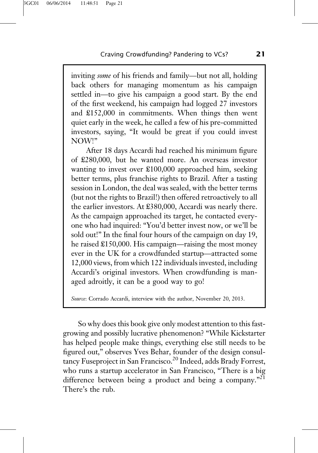inviting *some* of his friends and family—but not all, holding back others for managing momentum as his campaign settled in—to give his campaign a good start. By the end of the first weekend, his campaign had logged 27 investors and £152,000 in commitments. When things then went quiet early in the week, he called a few of his pre-committed investors, saying, "It would be great if you could invest NOW!"

After 18 days Accardi had reached his minimum figure of £280,000, but he wanted more. An overseas investor wanting to invest over £100,000 approached him, seeking better terms, plus franchise rights to Brazil. After a tasting session in London, the deal was sealed, with the better terms (but not the rights to Brazil!) then offered retroactively to all the earlier investors. At £380,000, Accardi was nearly there. As the campaign approached its target, he contacted everyone who had inquired: "You'd better invest now, or we'll be sold out!" In the final four hours of the campaign on day 19, he raised £150,000. His campaign—raising the most money ever in the UK for a crowdfunded startup—attracted some 12,000 views, from which 122 individuals invested, including Accardi's original investors. When crowdfunding is managed adroitly, it can be a good way to go!

*Source*: Corrado Accardi, interview with the author, November 20, 2013.

So why does this book give only modest attention to this fastgrowing and possibly lucrative phenomenon? "While Kickstarter has helped people make things, everything else still needs to be figured out," observes Yves Behar, founder of the design consultancy Fuseproject in San Francisco.<sup>20</sup> Indeed, adds Brady Forrest, who runs a startup accelerator in San Francisco, "There is a big difference between being a product and being a company."<sup>21</sup> There's the rub.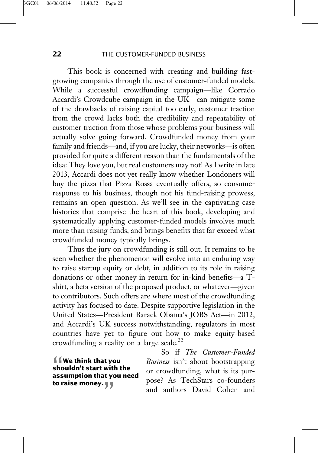This book is concerned with creating and building fastgrowing companies through the use of customer-funded models. While a successful crowdfunding campaign—like Corrado Accardi's Crowdcube campaign in the UK—can mitigate some of the drawbacks of raising capital too early, customer traction from the crowd lacks both the credibility and repeatability of customer traction from those whose problems your business will actually solve going forward. Crowdfunded money from your family and friends—and, if you are lucky, their networks—is often provided for quite a different reason than the fundamentals of the idea: They love you, but real customers may not! As I write in late 2013, Accardi does not yet really know whether Londoners will buy the pizza that Pizza Rossa eventually offers, so consumer response to his business, though not his fund-raising prowess, remains an open question. As we'll see in the captivating case histories that comprise the heart of this book, developing and systematically applying customer-funded models involves much more than raising funds, and brings benefits that far exceed what crowdfunded money typically brings.

Thus the jury on crowdfunding is still out. It remains to be seen whether the phenomenon will evolve into an enduring way to raise startup equity or debt, in addition to its role in raising donations or other money in return for in-kind benefits—a Tshirt, a beta version of the proposed product, or whatever—given to contributors. Such offers are where most of the crowdfunding activity has focused to date. Despite supportive legislation in the United States—President Barack Obama's JOBS Act—in 2012, and Accardi's UK success notwithstanding, regulators in most countries have yet to figure out how to make equity-based crowdfunding a reality on a large scale.<sup>22</sup>

**f** We think that you<br>shouldn't start with the<br>assumption that you need<br>to valse moneyy **We think that you shouldn't start with the** to raise money.  $\blacksquare$ 

So if *The Customer-Funded Business* isn't about bootstrapping or crowdfunding, what is its purpose? As TechStars co-founders and authors David Cohen and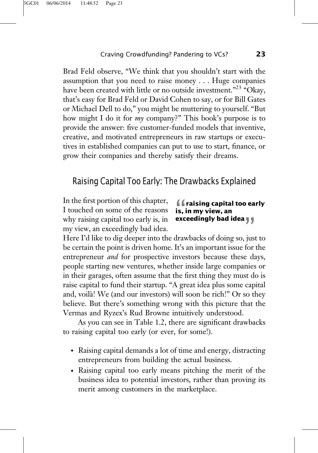Brad Feld observe, "We think that you shouldn't start with the assumption that you need to raise money . . . Huge companies have been created with little or no outside investment."<sup>23</sup> "Okay, that's easy for Brad Feld or David Cohen to say, or for Bill Gates or Michael Dell to do," you might be muttering to yourself. "But how might I do it for *my* company?" This book's purpose is to provide the answer: five customer-funded models that inventive, creative, and motivated entrepreneurs in raw startups or executives in established companies can put to use to start, finance, or grow their companies and thereby satisfy their dreams.

# Raising Capital Too Early: The Drawbacks Explained

In the first portion of this chapter, I touched on some of the reasons why raising capital too early is, in my view, an exceedingly bad idea.

# ((<br>is, i<br>exc **raising capital too early is, in my view, an exceedingly bad idea ¶ ¶**<br>drawbacks of doing so, jus

Here I'd like to dig deeper into the drawbacks of doing so, just to be certain the point is driven home. It's an important issue for the entrepreneur *and* for prospective investors because these days, people starting new ventures, whether inside large companies or in their garages, often assume that the first thing they must do is raise capital to fund their startup. "A great idea plus some capital and, voilà! We (and our investors) will soon be rich!" Or so they believe. But there's something wrong with this picture that the Vermas and Ryzex's Rud Browne intuitively understood.

As you can see in Table 1.2, there are significant drawbacks to raising capital too early (or ever, for some!).

- Raising capital demands a lot of time and energy, distracting entrepreneurs from building the actual business.
- Raising capital too early means pitching the merit of the business idea to potential investors, rather than proving its merit among customers in the marketplace.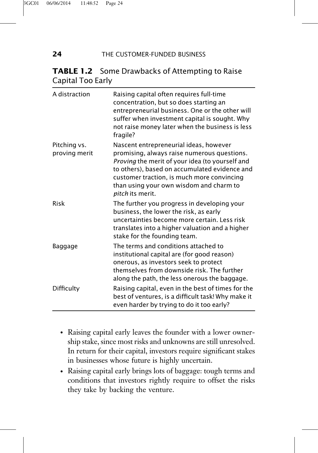### **TABLE 1.2** Some Drawbacks of Attempting to Raise Capital Too Early

| A distraction                 | Raising capital often requires full-time<br>concentration, but so does starting an<br>entrepreneurial business. One or the other will<br>suffer when investment capital is sought. Why<br>not raise money later when the business is less<br>fragile?                                                         |
|-------------------------------|---------------------------------------------------------------------------------------------------------------------------------------------------------------------------------------------------------------------------------------------------------------------------------------------------------------|
| Pitching vs.<br>proving merit | Nascent entrepreneurial ideas, however<br>promising, always raise numerous questions.<br><i>Proving</i> the merit of your idea (to yourself and<br>to others), based on accumulated evidence and<br>customer traction, is much more convincing<br>than using your own wisdom and charm to<br>pitch its merit. |
| Risk                          | The further you progress in developing your<br>business, the lower the risk, as early<br>uncertainties become more certain. Less risk<br>translates into a higher valuation and a higher<br>stake for the founding team.                                                                                      |
| Baggage                       | The terms and conditions attached to<br>institutional capital are (for good reason)<br>onerous, as investors seek to protect<br>themselves from downside risk. The further<br>along the path, the less onerous the baggage.                                                                                   |
| Difficulty                    | Raising capital, even in the best of times for the<br>best of ventures, is a difficult task! Why make it<br>even harder by trying to do it too early?                                                                                                                                                         |

- Raising capital early leaves the founder with a lower ownership stake, since most risks and unknowns are still unresolved. In return for their capital, investors require significant stakes in businesses whose future is highly uncertain.
- Raising capital early brings lots of baggage: tough terms and conditions that investors rightly require to offset the risks they take by backing the venture.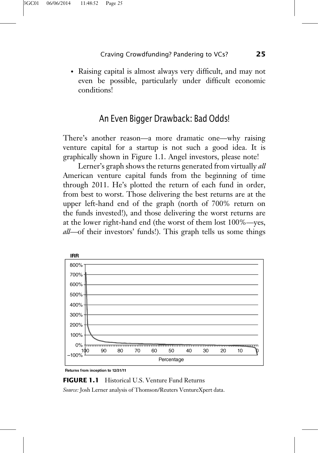• Raising capital is almost always very difficult, and may not even be possible, particularly under difficult economic conditions!

# An Even Bigger Drawback: Bad Odds!

There's another reason—a more dramatic one—why raising venture capital for a startup is not such a good idea. It is graphically shown in Figure 1.1. Angel investors, please note!

Lerner's graph shows the returns generated from virtually *all* American venture capital funds from the beginning of time through 2011. He's plotted the return of each fund in order, from best to worst. Those delivering the best returns are at the upper left-hand end of the graph (north of 700% return on the funds invested!), and those delivering the worst returns are at the lower right-hand end (the worst of them lost 100%—yes, *all—*of their investors' funds!). This graph tells us some things



Returns from inception to 12/31/11

**FIGURE 1.1** Historical U.S. Venture Fund Returns

*Source:* Josh Lerner analysis of Thomson/Reuters VentureXpert data.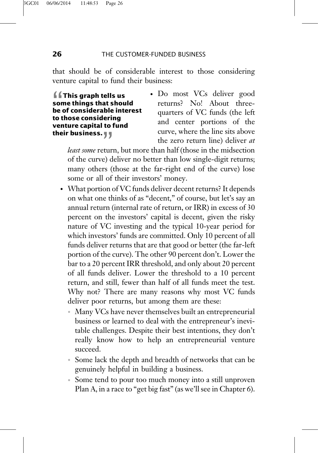that should be of considerable interest to those considering venture capital to fund their business:

 $'$   $\leq$ <br> $\leq$ <br> $\leq$ <br> $\leq$ <br> $\leq$ <br> $\leq$ <br> $\leq$ **This graph tells us some things that should be of considerable interest to those considering venture capital to fund their business.**"

• Do most VCs deliver good returns? No! About threequarters of VC funds (the left and center portions of the curve, where the line sits above the zero return line) deliver *at*

*least some* return, but more than half (those in the midsection of the curve) deliver no better than low single-digit returns; many others (those at the far-right end of the curve) lose some or all of their investors' money.

- What portion of VC funds deliver decent returns? It depends on what one thinks of as "decent," of course, but let's say an annual return (internal rate of return, or IRR) in excess of 30 percent on the investors' capital is decent, given the risky nature of VC investing and the typical 10-year period for which investors' funds are committed. Only 10 percent of all funds deliver returns that are that good or better (the far-left portion of the curve). The other 90 percent don't. Lower the bar to a 20 percent IRR threshold, and only about 20 percent of all funds deliver. Lower the threshold to a 10 percent return, and still, fewer than half of all funds meet the test. Why not? There are many reasons why most VC funds deliver poor returns, but among them are these:
	- Many VCs have never themselves built an entrepreneurial business or learned to deal with the entrepreneur's inevitable challenges. Despite their best intentions, they don't really know how to help an entrepreneurial venture succeed.
	- Some lack the depth and breadth of networks that can be genuinely helpful in building a business.
	- Some tend to pour too much money into a still unproven Plan A, in a race to "get big fast" (as we'll see in Chapter 6).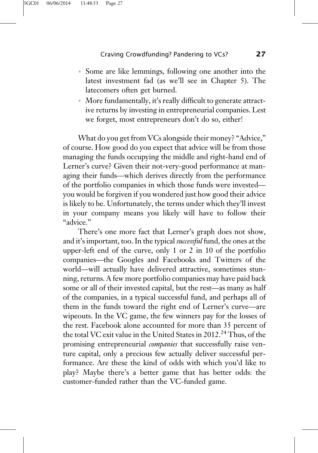- Some are like lemmings, following one another into the latest investment fad (as we'll see in Chapter 5). The latecomers often get burned.
- More fundamentally, it's really difficult to generate attractive returns by investing in entrepreneurial companies. Lest we forget, most entrepreneurs don't do so, either!

What do you get from VCs alongside their money? "Advice," of course. How good do you expect that advice will be from those managing the funds occupying the middle and right-hand end of Lerner's curve? Given their not-very-good performance at managing their funds—which derives directly from the performance of the portfolio companies in which those funds were invested you would be forgiven if you wondered just how good their advice is likely to be. Unfortunately, the terms under which they'll invest in your company means you likely will have to follow their "advice."

There's one more fact that Lerner's graph does not show, and it's important, too. In the typical *successful* fund, the ones at the upper-left end of the curve, only 1 or 2 in 10 of the portfolio companies—the Googles and Facebooks and Twitters of the world—will actually have delivered attractive, sometimes stunning, returns. A few more portfolio companies may have paid back some or all of their invested capital, but the rest—as many as half of the companies, in a typical successful fund, and perhaps all of them in the funds toward the right end of Lerner's curve—are wipeouts. In the VC game, the few winners pay for the losses of the rest. Facebook alone accounted for more than 35 percent of the total VC exit value in the United States in  $2012<sup>24</sup>$  Thus, of the promising entrepreneurial *companies* that successfully raise venture capital, only a precious few actually deliver successful performance. Are these the kind of odds with which you'd like to play? Maybe there's a better game that has better odds: the customer-funded rather than the VC-funded game.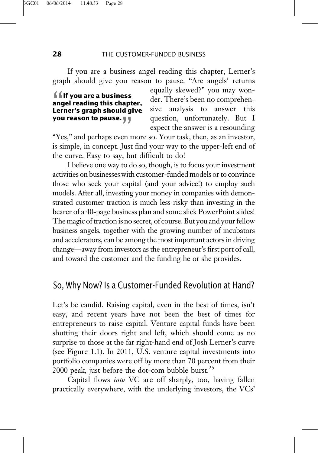If you are a business angel reading this chapter, Lerner's graph should give you reason to pause. "Are angels' returns

### "<br>Ang<br>Ler<br>" **If you are a business angel reading this chapter, Lerner's graph should give**

equally skewed?" you may wonder. There's been no comprehensive analysis to answer this question, unfortunately. But I expect the answer is a resounding

**you reason to pause.**<br> **y** question, unfortunately. But I<br>
"Yes," and perhaps even more so. Your task, then, as an investor, is simple, in concept. Just find your way to the upper-left end of the curve. Easy to say, but difficult to do!

I believe one way to do so, though, is to focus your investment activities on businesses with customer-funded models or to convince those who seek your capital (and your advice!) to employ such models. After all, investing your money in companies with demonstrated customer traction is much less risky than investing in the bearer of a 40-page business plan and some slick PowerPoint slides! The magic of traction is no secret, of course. But you and your fellow business angels, together with the growing number of incubators and accelerators, can be among the most important actors in driving change—away from investors as the entrepreneur's first port of call, and toward the customer and the funding he or she provides.

# So, Why Now? Is a Customer-Funded Revolution at Hand?

Let's be candid. Raising capital, even in the best of times, isn't easy, and recent years have not been the best of times for entrepreneurs to raise capital. Venture capital funds have been shutting their doors right and left, which should come as no surprise to those at the far right-hand end of Josh Lerner's curve (see Figure 1.1). In 2011, U.S. venture capital investments into portfolio companies were off by more than 70 percent from their 2000 peak, just before the dot-com bubble burst. $25$ 

Capital flows *into* VC are off sharply, too, having fallen practically everywhere, with the underlying investors, the VCs'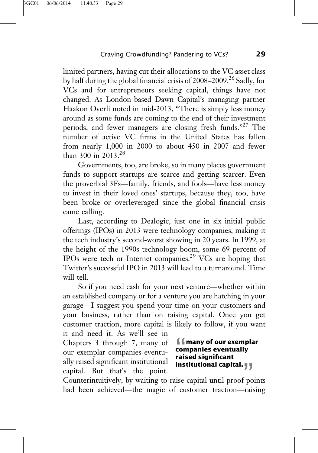limited partners, having cut their allocations to the VC asset class by half during the global financial crisis of 2008–2009.<sup>26</sup> Sadly, for VCs and for entrepreneurs seeking capital, things have not changed. As London-based Dawn Capital's managing partner Haakon Overli noted in mid-2013, "There is simply less money around as some funds are coming to the end of their investment periods, and fewer managers are closing fresh funds."<sup>27</sup> The number of active VC firms in the United States has fallen from nearly 1,000 in 2000 to about 450 in 2007 and fewer than 300 in 2013.<sup>28</sup>

Governments, too, are broke, so in many places government funds to support startups are scarce and getting scarcer. Even the proverbial 3Fs—family, friends, and fools—have less money to invest in their loved ones' startups, because they, too, have been broke or overleveraged since the global financial crisis came calling.

Last, according to Dealogic, just one in six initial public offerings (IPOs) in 2013 were technology companies, making it the tech industry's second-worst showing in 20 years. In 1999, at the height of the 1990s technology boom, some 69 percent of IPOs were tech or Internet companies.<sup>29</sup> VCs are hoping that Twitter's successful IPO in 2013 will lead to a turnaround. Time will tell.

So if you need cash for your next venture—whether within an established company or for a venture you are hatching in your garage—I suggest you spend your time on your customers and your business, rather than on raising capital. Once you get customer traction, more capital is likely to follow, if you want

it and need it. As we'll see in Chapters 3 through 7, many of our exemplar companies eventually raised significant institutional capital. But that's the point.

**f** many of our exemplar<br>companies eventually<br>raised significant<br>institutional conital as **companies eventually raised significant institutional capital.**  $\blacksquare$ 

Counterintuitively, by waiting to raise capital until proof points had been achieved—the magic of customer traction—raising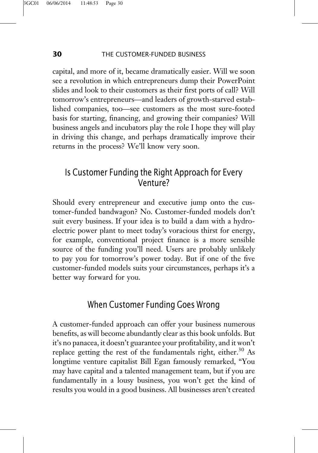capital, and more of it, became dramatically easier. Will we soon see a revolution in which entrepreneurs dump their PowerPoint slides and look to their customers as their first ports of call? Will tomorrow's entrepreneurs—and leaders of growth-starved established companies, too—see customers as the most sure-footed basis for starting, financing, and growing their companies? Will business angels and incubators play the role I hope they will play in driving this change, and perhaps dramatically improve their returns in the process? We'll know very soon.

# Is Customer Funding the Right Approach for Every Venture?

Should every entrepreneur and executive jump onto the customer-funded bandwagon? No. Customer-funded models don't suit every business. If your idea is to build a dam with a hydroelectric power plant to meet today's voracious thirst for energy, for example, conventional project finance is a more sensible source of the funding you'll need. Users are probably unlikely to pay you for tomorrow's power today. But if one of the five customer-funded models suits your circumstances, perhaps it's a better way forward for you.

# When Customer Funding Goes Wrong

A customer-funded approach can offer your business numerous benefits, as will become abundantly clear as this book unfolds. But it's no panacea, it doesn't guarantee your profitability, and it won't replace getting the rest of the fundamentals right, either. $30$  As longtime venture capitalist Bill Egan famously remarked, "You may have capital and a talented management team, but if you are fundamentally in a lousy business, you won't get the kind of results you would in a good business. All businesses aren't created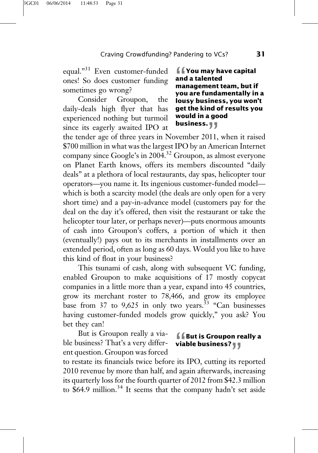equal."<sup>31</sup> Even customer-funded ones! So does customer funding sometimes go wrong?

Consider Groupon, the daily-deals high flyer that has experienced nothing but turmoil since its eagerly awaited IPO at

**f You may have capital**<br>and a talented<br>management team, but i **and a talented management team, but if you are fundamentally in a lousy business, you won't get the kind of results you would in a good**

the tender age of three years in November 2011, when it raised \$700 million in what was the largest IPO by an American Internet company since Google's in 2004.<sup>32</sup> Groupon, as almost everyone on Planet Earth knows, offers its members discounted "daily deals" at a plethora of local restaurants, day spas, helicopter tour operators—you name it. Its ingenious customer-funded model which is both a scarcity model (the deals are only open for a very short time) and a pay-in-advance model (customers pay for the deal on the day it's offered, then visit the restaurant or take the helicopter tour later, or perhaps never)—puts enormous amounts of cash into Groupon's coffers, a portion of which it then (eventually!) pays out to its merchants in installments over an extended period, often as long as 60 days. Would you like to have this kind of float in your business? **business. J J**<br>vember 2011,<br>IPO by an Am

This tsunami of cash, along with subsequent VC funding, enabled Groupon to make acquisitions of 17 mostly copycat companies in a little more than a year, expand into 45 countries, grow its merchant roster to 78,466, and grow its employee base from 37 to 9,625 in only two years.<sup>33</sup> "Can businesses" having customer-funded models grow quickly," you ask? You bet they can!

But is Groupon really a viable business? That's a very different question. Groupon was forced

### viable business?  $\P$ **But is Groupon really a**

ble business? That's a very differ-<br>ent question. Groupon was forced<br>to restate its financials twice before its IPO, cutting its reported 2010 revenue by more than half, and again afterwards, increasing its quarterly loss for the fourth quarter of 2012 from \$42.3 million to \$64.9 million.<sup>34</sup> It seems that the company hadn't set aside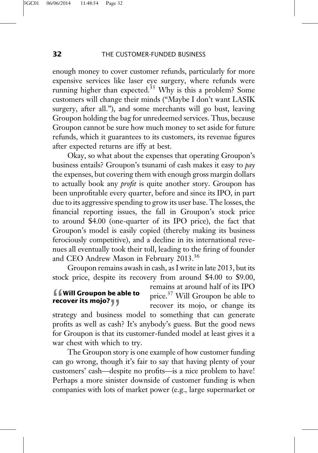enough money to cover customer refunds, particularly for more expensive services like laser eye surgery, where refunds were running higher than expected.<sup>35</sup> Why is this a problem? Some customers will change their minds ("Maybe I don't want LASIK surgery, after all."), and some merchants will go bust, leaving Groupon holding the bag for unredeemed services. Thus, because Groupon cannot be sure how much money to set aside for future refunds, which it guarantees to its customers, its revenue figures after expected returns are iffy at best.

Okay, so what about the expenses that operating Groupon's business entails? Groupon's tsunami of cash makes it easy to *pay* the expenses, but covering them with enough gross margin dollars to actually book any *profit* is quite another story. Groupon has been unprofitable every quarter, before and since its IPO, in part due to its aggressive spending to grow its user base. The losses, the financial reporting issues, the fall in Groupon's stock price to around \$4.00 (one-quarter of its IPO price), the fact that Groupon's model is easily copied (thereby making its business ferociously competitive), and a decline in its international revenues all eventually took their toll, leading to the firing of founder and CEO Andrew Mason in February 2013.<sup>36</sup>

Groupon remains awash in cash, as I write in late 2013, but its stock price, despite its recovery from around \$4.00 to \$9.00,

#### recover its mojo? | | **Will Groupon be able to**

remains at around half of its IPO price.<sup>37</sup> Will Groupon be able to recover its mojo, or change its

strategy and business model to something that can generate profits as well as cash? It's anybody's guess. But the good news for Groupon is that its customer-funded model at least gives it a war chest with which to try. **recover its mojo?**"<br>strategy and business<br>profits as well as cash

The Groupon story is one example of how customer funding can go wrong, though it's fair to say that having plenty of your customers' cash—despite no profits—is a nice problem to have! Perhaps a more sinister downside of customer funding is when companies with lots of market power (e.g., large supermarket or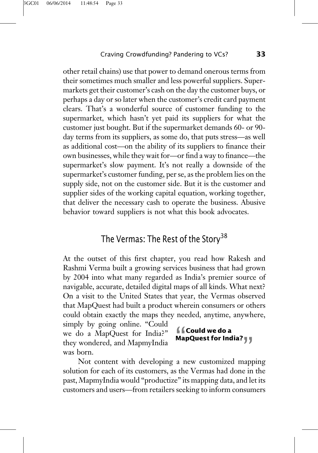other retail chains) use that power to demand onerous terms from their sometimes much smaller and less powerful suppliers. Supermarkets get their customer's cash on the day the customer buys, or perhaps a day or so later when the customer's credit card payment clears. That's a wonderful source of customer funding to the supermarket, which hasn't yet paid its suppliers for what the customer just bought. But if the supermarket demands 60- or 90 day terms from its suppliers, as some do, that puts stress—as well as additional cost—on the ability of its suppliers to finance their own businesses, while they wait for—or find a way to finance—the supermarket's slow payment. It's not really a downside of the supermarket's customer funding, per se, as the problem lies on the supply side, not on the customer side. But it is the customer and supplier sides of the working capital equation, working together, that deliver the necessary cash to operate the business. Abusive behavior toward suppliers is not what this book advocates.

# The Vermas: The Rest of the Story<sup>38</sup>

At the outset of this first chapter, you read how Rakesh and Rashmi Verma built a growing services business that had grown by 2004 into what many regarded as India's premier source of navigable, accurate, detailed digital maps of all kinds. What next? On a visit to the United States that year, the Vermas observed that MapQuest had built a product wherein consumers or others could obtain exactly the maps they needed, anytime, anywhere,

simply by going online. "Could we do a MapQuest for India?" they wondered, and MapmyIndia was born.

# <u>({</u><br>Ma **Could we do a MapQuest for India? || ||**<br>a new customized mapp

Not content with developing a new customized mapping solution for each of its customers, as the Vermas had done in the past, MapmyIndia would "productize" its mapping data, and let its customers and users—from retailers seeking to inform consumers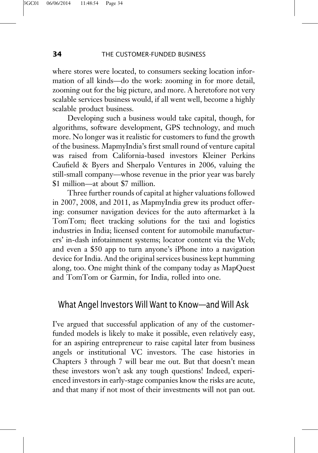where stores were located, to consumers seeking location information of all kinds—do the work: zooming in for more detail, zooming out for the big picture, and more. A heretofore not very scalable services business would, if all went well, become a highly scalable product business.

Developing such a business would take capital, though, for algorithms, software development, GPS technology, and much more. No longer was it realistic for customers to fund the growth of the business. MapmyIndia's first small round of venture capital was raised from California-based investors Kleiner Perkins Caufield & Byers and Sherpalo Ventures in 2006, valuing the still-small company—whose revenue in the prior year was barely \$1 million—at about \$7 million.

Three further rounds of capital at higher valuations followed in 2007, 2008, and 2011, as MapmyIndia grew its product offering: consumer navigation devices for the auto aftermarket à la TomTom; fleet tracking solutions for the taxi and logistics industries in India; licensed content for automobile manufacturers' in-dash infotainment systems; locator content via the Web; and even a \$50 app to turn anyone's iPhone into a navigation device for India. And the original services business kept humming along, too. One might think of the company today as MapQuest and TomTom or Garmin, for India, rolled into one.

## What Angel Investors Will Want to Know—and Will Ask

I've argued that successful application of any of the customerfunded models is likely to make it possible, even relatively easy, for an aspiring entrepreneur to raise capital later from business angels or institutional VC investors. The case histories in Chapters 3 through 7 will bear me out. But that doesn't mean these investors won't ask any tough questions! Indeed, experienced investors in early-stage companies know the risks are acute, and that many if not most of their investments will not pan out.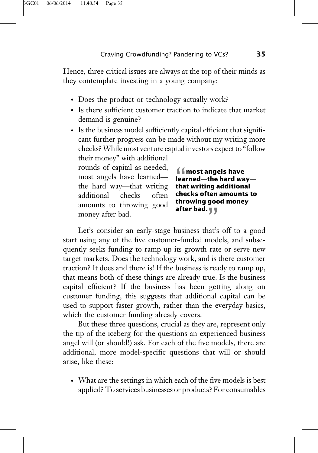Hence, three critical issues are always at the top of their minds as they contemplate investing in a young company:

- Does the product or technology actually work?
- Is there sufficient customer traction to indicate that market demand is genuine?
- Is the business model sufficiently capital efficient that significant further progress can be made without my writing more checks?While most venture capital investors expect to "follow

their money" with additional rounds of capital as needed, most angels have learned the hard way—that writing additional checks often amounts to throwing good money after bad.

"<br>"<br>"<br>"<br>"<br>"<br>" **most angels have learned—the hard way that writing additional checks often amounts to throwing good money**

anounts to unowing good **after bad.**<br>money after bad.<br>Let's consider an early-stage business that's off to a good start using any of the five customer-funded models, and subsequently seeks funding to ramp up its growth rate or serve new target markets. Does the technology work, and is there customer traction? It does and there is! If the business is ready to ramp up, that means both of these things are already true. Is the business capital efficient? If the business has been getting along on customer funding, this suggests that additional capital can be used to support faster growth, rather than the everyday basics, which the customer funding already covers.

But these three questions, crucial as they are, represent only the tip of the iceberg for the questions an experienced business angel will (or should!) ask. For each of the five models, there are additional, more model-specific questions that will or should arise, like these:

• What are the settings in which each of the five models is best applied? To services businesses or products? For consumables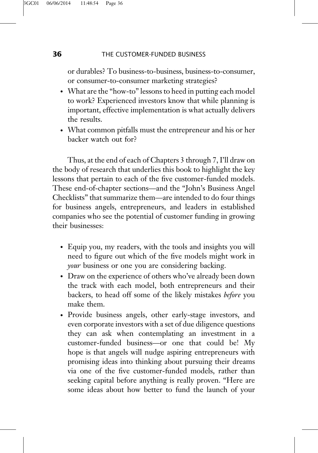or durables? To business-to-business, business-to-consumer, or consumer-to-consumer marketing strategies?

- What are the "how-to" lessons to heed in putting each model to work? Experienced investors know that while planning is important, effective implementation is what actually delivers the results.
- What common pitfalls must the entrepreneur and his or her backer watch out for?

Thus, at the end of each of Chapters 3 through 7, I'll draw on the body of research that underlies this book to highlight the key lessons that pertain to each of the five customer-funded models. These end-of-chapter sections—and the "John's Business Angel Checklists" that summarize them—are intended to do four things for business angels, entrepreneurs, and leaders in established companies who see the potential of customer funding in growing their businesses:

- Equip you, my readers, with the tools and insights you will need to figure out which of the five models might work in *your* business or one you are considering backing.
- Draw on the experience of others who've already been down the track with each model, both entrepreneurs and their backers, to head off some of the likely mistakes *before* you make them.
- Provide business angels, other early-stage investors, and even corporate investors with a set of due diligence questions they can ask when contemplating an investment in a customer-funded business—or one that could be! My hope is that angels will nudge aspiring entrepreneurs with promising ideas into thinking about pursuing their dreams via one of the five customer-funded models, rather than seeking capital before anything is really proven. "Here are some ideas about how better to fund the launch of your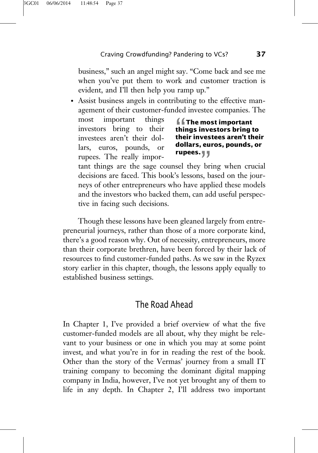business," such an angel might say. "Come back and see me when you've put them to work and customer traction is evident, and I'll then help you ramp up."

• Assist business angels in contributing to the effective management of their customer-funded investee companies. The

most important things investors bring to their investees aren't their dollars, euros, pounds, rupees. The really impor-

**f f** The most important<br>things investors bring<br>their investees aren't the **things investors bring to their investees aren't their dollars, euros, pounds, or**

tant things are the sage counsel they bring when crucial decisions are faced. This book's lessons, based on the journeys of other entrepreneurs who have applied these models and the investors who backed them, can add useful perspective in facing such decisions. **rupees. JJ**<br>sel they br<br>'s lessons. b

Though these lessons have been gleaned largely from entrepreneurial journeys, rather than those of a more corporate kind, there's a good reason why. Out of necessity, entrepreneurs, more than their corporate brethren, have been forced by their lack of resources to find customer-funded paths. As we saw in the Ryzex story earlier in this chapter, though, the lessons apply equally to established business settings.

# The Road Ahead

In Chapter 1, I've provided a brief overview of what the five customer-funded models are all about, why they might be relevant to your business or one in which you may at some point invest, and what you're in for in reading the rest of the book. Other than the story of the Vermas' journey from a small IT training company to becoming the dominant digital mapping company in India, however, I've not yet brought any of them to life in any depth. In Chapter 2, I'll address two important